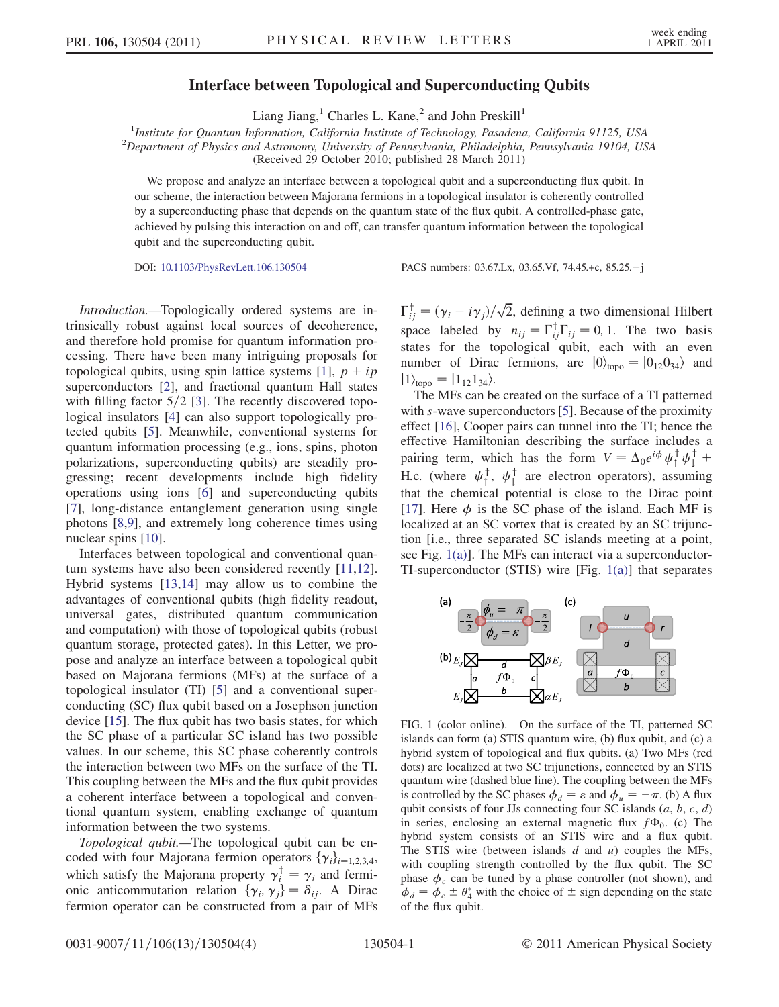## Interface between Topological and Superconducting Qubits

Liang Jiang,<sup>1</sup> Charles L. Kane,<sup>2</sup> and John Preskill<sup>1</sup>

<sup>1</sup>Institute for Quantum Information, California Institute of Technology, Pasadena, California 91125, USA<br><sup>2</sup>Department of Physics and Astronomy University of Pennsylvania, Philadelphia, Pennsylvania 19104, US  $^{2}$ Department of Physics and Astronomy, University of Pennsylvania, Philadelphia, Pennsylvania 19104, USA (Received 29 October 2010; published 28 March 2011)

We propose and analyze an interface between a topological qubit and a superconducting flux qubit. In our scheme, the interaction between Majorana fermions in a topological insulator is coherently controlled by a superconducting phase that depends on the quantum state of the flux qubit. A controlled-phase gate, achieved by pulsing this interaction on and off, can transfer quantum information between the topological qubit and the superconducting qubit.

DOI: [10.1103/PhysRevLett.106.130504](http://dx.doi.org/10.1103/PhysRevLett.106.130504) PACS numbers: 03.67.Lx, 03.65.Vf, 74.45.+c, 85.25.-j

Introduction.—Topologically ordered systems are intrinsically robust against local sources of decoherence, and therefore hold promise for quantum information processing. There have been many intriguing proposals for topological qubits, using spin lattice systems [\[1](#page-3-0)],  $p + ip$ superconductors [[2\]](#page-3-1), and fractional quantum Hall states with filling factor  $5/2$  [[3\]](#page-3-2). The recently discovered topological insulators [[4\]](#page-3-3) can also support topologically protected qubits [\[5\]](#page-3-4). Meanwhile, conventional systems for quantum information processing (e.g., ions, spins, photon polarizations, superconducting qubits) are steadily progressing; recent developments include high fidelity operations using ions [[6](#page-3-5)] and superconducting qubits [\[7\]](#page-3-6), long-distance entanglement generation using single photons [\[8](#page-3-7)[,9](#page-3-8)], and extremely long coherence times using nuclear spins [[10](#page-3-9)].

Interfaces between topological and conventional quantum systems have also been considered recently [\[11](#page-3-10)[,12\]](#page-3-11). Hybrid systems [\[13,](#page-3-12)[14\]](#page-3-13) may allow us to combine the advantages of conventional qubits (high fidelity readout, universal gates, distributed quantum communication and computation) with those of topological qubits (robust quantum storage, protected gates). In this Letter, we propose and analyze an interface between a topological qubit based on Majorana fermions (MFs) at the surface of a topological insulator (TI) [\[5](#page-3-4)] and a conventional superconducting (SC) flux qubit based on a Josephson junction device [[15](#page-3-14)]. The flux qubit has two basis states, for which the SC phase of a particular SC island has two possible values. In our scheme, this SC phase coherently controls the interaction between two MFs on the surface of the TI. This coupling between the MFs and the flux qubit provides a coherent interface between a topological and conventional quantum system, enabling exchange of quantum information between the two systems.

Topological qubit.—The topological qubit can be encoded with four Majorana fermion operators  $\{\gamma_i\}_{i=1,2,3,4}$ , which satisfy the Majorana property  $\gamma_i^{\dagger} = \gamma_i$  and fermi-<br>onic anticommutation relation  $\{\gamma_i, \gamma_j\} = \delta_{ij}$ . A Dirac onic anticommutation relation  $\{\gamma_i, \gamma_j\} = \delta_{ij}$ . A Dirac<br>fermion operator can be constructed from a pair of MEs fermion operator can be constructed from a pair of MFs

 $\Gamma_{ij}^{\dagger} = (\gamma_i - i\gamma_j)/\sqrt{2}$ , defining a two dimensional Hilbert space labeled by  $n_{ij} = \Gamma_{ij}^{\dagger} \Gamma_{ij} = 0, 1$ . The two basis<br>states for the topological qubit, agab, with an avan states for the topological qubit, each with an even number of Dirac fermions, are  $|0\rangle_{\text{topo}} = |0_{12}0_{34}\rangle$  and  $|1\rangle_{\text{topo}} = |1_{12}1_{34}\rangle.$ 

The MFs can be created on the surface of a TI patterned with s-wave superconductors [\[5](#page-3-4)]. Because of the proximity effect [\[16\]](#page-3-15), Cooper pairs can tunnel into the TI; hence the effective Hamiltonian describing the surface includes a pairing term, which has the form  $V = \Delta_0 e^{i\phi} \psi_1^{\dagger} \psi_1^{\dagger}$ H.c. (where  $\psi_1^{\dagger}$ ,  $\psi_1^{\dagger}$  are electron operators), assuming<br>that the chamical potential is alone to the Dirac point that the chemical potential is close to the Dirac point [\[17\]](#page-3-16). Here  $\phi$  is the SC phase of the island. Each MF is localized at an SC vortex that is created by an SC trijunction [i.e., three separated SC islands meeting at a point, see Fig. [1\(a\)](#page-0-0)]. The MFs can interact via a superconductor-TI-superconductor (STIS) wire [Fig. [1\(a\)\]](#page-0-0) that separates



<span id="page-0-0"></span>FIG. 1 (color online). On the surface of the TI, patterned SC islands can form (a) STIS quantum wire, (b) flux qubit, and (c) a hybrid system of topological and flux qubits. (a) Two MFs (red dots) are localized at two SC trijunctions, connected by an STIS quantum wire (dashed blue line). The coupling between the MFs is controlled by the SC phases  $\phi_d = \varepsilon$  and  $\phi_u = -\pi$ . (b) A flux qubit consists of four JJs connecting four SC islands  $(a, b, c, d)$ in series, enclosing an external magnetic flux  $f\Phi_0$ . (c) The hybrid system consists of an STIS wire and a flux qubit. The STIS wire (between islands  $d$  and  $u$ ) couples the MFs, with coupling strength controlled by the flux qubit. The SC phase  $\phi_c$  can be tuned by a phase controller (not shown), and  $\phi_d = \phi_c \pm \theta_4^*$  with the choice of  $\pm$  sign depending on the state<br>of the flux qubit of the flux qubit.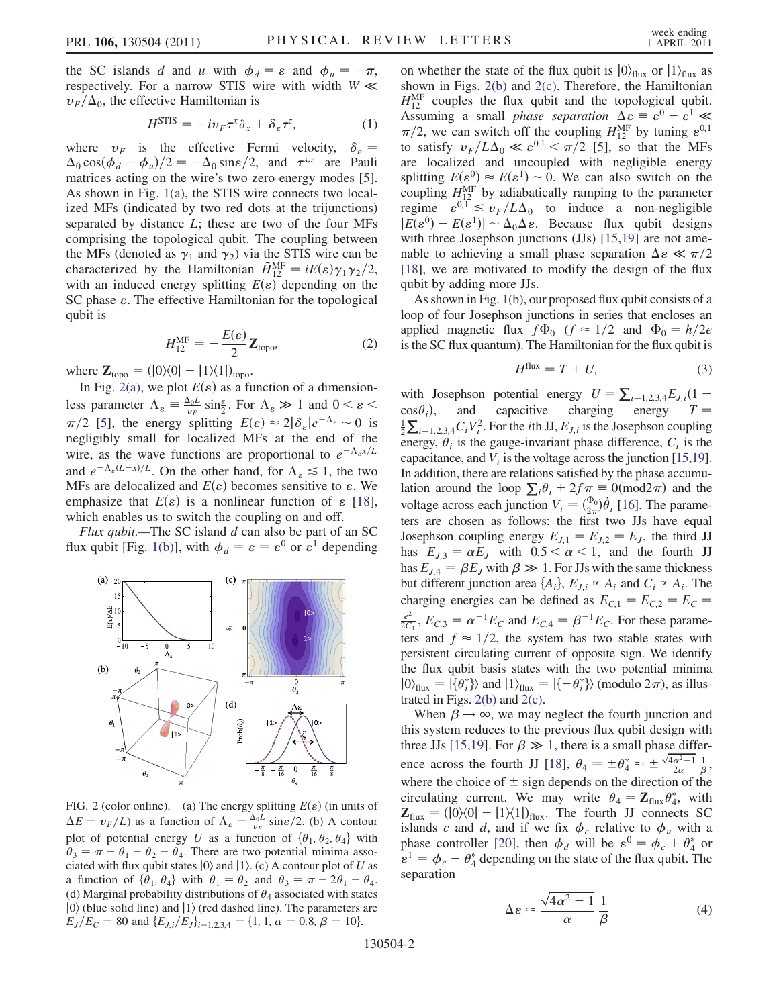the SC islands d and u with  $\phi_d = \varepsilon$  and  $\phi_u = -\pi$ , respectively. For a narrow STIS wire with width  $W \ll$  $v_F/\Delta_0$ , the effective Hamiltonian is

$$
H^{\text{STIS}} = -i v_F \tau^x \partial_x + \delta_\varepsilon \tau^z, \tag{1}
$$

where  $v_F$  is the effective Fermi velocity,  $\delta_{\varepsilon}$  = where  $v_F$  is the effective Fermi velocity,  $\sigma_g - \Delta_0 \cos(\phi_d - \phi_u)/2 = -\Delta_0 \sin(\phi/2)$ , and  $\tau^{x,z}$  are Pauli matrices acting on the wire's two zero-energy modes [5] matrices acting on the wire's two zero-energy modes [[5\]](#page-3-4). As shown in Fig. [1\(a\)](#page-0-0), the STIS wire connects two localized MFs (indicated by two red dots at the trijunctions) separated by distance  $L$ ; these are two of the four MFs comprising the topological qubit. The coupling between the MFs (denoted as  $\gamma_1$  and  $\gamma_2$ ) via the STIS wire can be characterized by the Hamiltonian  $\tilde{H}_{12}^{\text{MF}} = iE(\varepsilon)\gamma_1\gamma_2/2$ ,<br>with an induced energy splitting  $F(\varepsilon)$  depending on the with an induced energy splitting  $E(\varepsilon)$  depending on the SC phase  $\varepsilon$ . The effective Hamiltonian for the topological qubit is

$$
H_{12}^{\text{MF}} = -\frac{E(\varepsilon)}{2} \mathbf{Z}_{\text{topo}},\tag{2}
$$

where  $\mathbf{Z}_{\text{topo}} = (0) \langle 0| - (1) \langle 1| \rangle_{\text{topo}}.$ 

In Fig. [2\(a\),](#page-1-0) we plot  $E(\varepsilon)$  as a function of a dimensionless parameter  $\Lambda_{\varepsilon} = \frac{\Delta_0 L}{v_F} \sin{\frac{\varepsilon}{2}}$ . For  $\Lambda_{\varepsilon} \gg 1$  and  $0 < \varepsilon <$  $\pi/2$  [\[5](#page-3-4)], the energy splitting  $E(\varepsilon) \approx 2|\delta_{\varepsilon}|e^{-\Lambda_{\varepsilon}} \sim 0$  is<br>negligibly small for localized MFs at the end of the negligibly small for localized MFs at the end of the wire, as the wave functions are proportional to  $e^{-\Lambda_e x/L}$ and  $e^{-\Lambda_{\varepsilon}(L-x)/L}$ . On the other hand, for  $\Lambda_{\varepsilon} \lesssim 1$ , the two MFs are delocalized and  $E(\varepsilon)$  becomes sensitive to  $\varepsilon$ . We emphasize that  $E(\varepsilon)$  is a nonlinear function of  $\varepsilon$  [\[18\]](#page-3-17), which enables us to switch the coupling on and off.

Flux qubit.—The SC island  $d$  can also be part of an SC flux qubit [Fig. [1\(b\)\]](#page-0-0), with  $\phi_d = \varepsilon = \varepsilon^0$  or  $\varepsilon^1$  depending



<span id="page-1-0"></span>FIG. 2 (color online). (a) The energy splitting  $E(\varepsilon)$  (in units of  $\Delta E = v_F/L$ ) as a function of  $\Lambda_e = \frac{\Delta_0 L}{v_F} \sin \frac{e}{2}$ . (b) A contour plot of potential energy U as a function of  $\{\theta_1, \theta_2, \theta_4\}$  with  $\theta_3 = \pi - \theta_1 - \theta_2 - \theta_4$ . There are two potential minima associated with flux qubit states  $|0\rangle$  and  $|1\rangle$ . (c) A contour plot of U as a function of  $\{\theta_1, \theta_4\}$  with  $\theta_1 = \theta_2$  and  $\theta_3 = \pi - 2\theta_1 - \theta_4$ . (d) Marginal probability distributions of  $\theta_4$  associated with states  $|0\rangle$  (blue solid line) and  $|1\rangle$  (red dashed line). The parameters are  $E_J/E_C = 80$  and  $\{E_{J,i}/E_J\}_{i=1,2,3,4} = \{1, 1, \alpha = 0.8, \beta = 10\}.$ 

on whether the state of the flux qubit is  $|0\rangle_{\text{flux}}$  or  $|1\rangle_{\text{flux}}$  as shown in Figs. [2\(b\)](#page-1-0) and [2\(c\).](#page-1-0) Therefore, the Hamiltonian  $H_{12}^{\text{MF}}$  couples the flux qubit and the topological qubit. Assuming a small *phase separation*  $\Delta \varepsilon = \varepsilon^0 - \varepsilon^1 \ll \pi/2$  we can switch off the coupling  $H^{\text{MF}}$  by tuning  $\varepsilon^{0,1}$  $\pi/2$ , we can switch off the coupling  $H_{12}^{\text{MF}}$  by tuning  $\varepsilon^{0,1}$ to satisfy  $v_F/L\Delta_0 \ll \varepsilon^{0.1} \ll \pi/2$  [[5\]](#page-3-4), so that the MFs<br>are localized and uncounled with negligible energy are localized and uncoupled with negligible energy splitting  $E(\varepsilon^{0}) \approx E(\varepsilon^{1}) \sim 0$ . We can also switch on the coupling  $H_{12}^{\text{MF}}$  by adiabatically ramping to the parameter regime  $\varepsilon^{0,1} \lesssim v_F/L\Delta_0$  to induce a non-negligible  $|E(\varepsilon^0) - E(\varepsilon^1)| \sim \Delta_0 \Delta \varepsilon$ . Because flux qubit designs<br>with three Iosephson junctions (IIs) [15,19] are not ame-with three Josephson junctions (JJs) [[15,](#page-3-14)[19](#page-3-18)] are not amenable to achieving a small phase separation  $\Delta \varepsilon \ll \pi/2$ <br>[18] we are motivated to modify the design of the flux [\[18\]](#page-3-17), we are motivated to modify the design of the flux qubit by adding more JJs.

As shown in Fig. [1\(b\)](#page-0-0), our proposed flux qubit consists of a loop of four Josephson junctions in series that encloses an applied magnetic flux  $f\Phi_0$  ( $f \approx 1/2$  and  $\Phi_0 = h/2e$ is the SC flux quantum). The Hamiltonian for the flux qubit is

$$
H^{\text{flux}} = T + U,\tag{3}
$$

with Josephson potential energy  $U = \sum_{i=1,2,3,4} E_{J,i} (1 - \cos \theta_i)$  and canacitive charging energy  $T =$  $\cos\theta_i$ ), and capacitive charging energy  $T = \frac{1}{2} \sum_{i=1,2,3,4} C_i V_i^2$ . For the *i*th JJ,  $E_{J,i}$  is the Josephson coupling energy,  $\theta_i$  is the gauge-invariant phase difference,  $C_i$  is the capacitance, and  $V_i$  is the voltage across the junction [\[15,](#page-3-14)[19](#page-3-18)]. In addition, there are relations satisfied by the phase accumulation around the loop  $\sum_i \theta_i + 2f \pi \equiv 0 \pmod{2\pi}$  and the voltage across each junction  $V_i = \frac{\Phi_0}{\hat{\theta}}$ . [16] The parameters voltage across each junction  $V_i = (\frac{\Phi_0}{2\pi}) \dot{\theta}_i$  [[16\]](#page-3-15). The parameters are chosen as follows: the first two JJs have equal Josephson coupling energy  $E_{J,1} = E_{J,2} = E_J$ , the third JJ has  $E_{1,3} = \alpha E_J$  with  $0.5 < \alpha < 1$ , and the fourth JJ has  $E_{J,4} = \beta E_J$  with  $\beta \gg 1$ . For JJs with the same thickness but different junction area  $\{A_i\}$ ,  $E_{J,i} \propto A_i$  and  $C_i \propto A_i$ . The charging energies can be defined as  $E_{C,1} = E_{C,2} = E_C$  $\frac{e^2}{2C_1}$ ,  $E_{C,3} = \alpha^{-1} E_C$  and  $E_{C,4} = \beta^{-1} E_C$ . For these parameters and  $f \approx 1/2$ , the system has two stable states with persistent circulating current of opposite sign. We identify the flux qubit basis states with the two potential minima  $|0\rangle_{\text{flux}} = |\{\theta_i^*\}\rangle$  and  $|1\rangle_{\text{flux}} = |\{-\theta_i^*\}\rangle$  (modulo  $2\pi$ ), as illustrated in Figs. 2(b) and 2(c) trated in Figs.  $2(b)$  and  $2(c)$ .

When  $\beta \rightarrow \infty$ , we may neglect the fourth junction and this system reduces to the previous flux qubit design with three JJs [[15](#page-3-14),[19](#page-3-18)]. For  $\beta \gg 1$ , there is a small phase differ-ence across the fourth JJ [\[18\]](#page-3-17),  $\theta_4 = \pm \theta_4^* \approx \pm \frac{\sqrt{4\alpha^2-1}}{2\alpha} \frac{1}{\beta}$ , where the choice of  $\pm$  sign depends on the direction of the circulating current. We may write  $\theta_i = \mathbf{Z}_0 \theta^*$  with circulating current. We may write  $\theta_4 = \mathbb{Z}_{\text{flux}} \theta_4^*$ , with  $\mathbb{Z}_{\text{cm}} = (10)(0 - 11)(11)$ . The fourth II connects SC  $\mathbf{Z}_{\text{flux}} = (0) \times 0 - (1) \times 10$ <sub>flux</sub>. The fourth JJ connects SC islands c and d, and if we fix  $\phi_c$  relative to  $\phi_u$  with a phase controller [[20](#page-3-19)], then  $\phi_d$  will be  $\varepsilon^0 = \dot{\phi_c} + \theta_4^*$  or  $\varepsilon^1 = \phi_c - \theta_4^*$  depending on the state of the flux qubit. The  $\epsilon^1 = \phi_c - \theta^*_4$  depending on the state of the flux qubit. The separation separation

$$
\Delta \varepsilon \approx \frac{\sqrt{4\alpha^2 - 1}}{\alpha} \frac{1}{\beta} \tag{4}
$$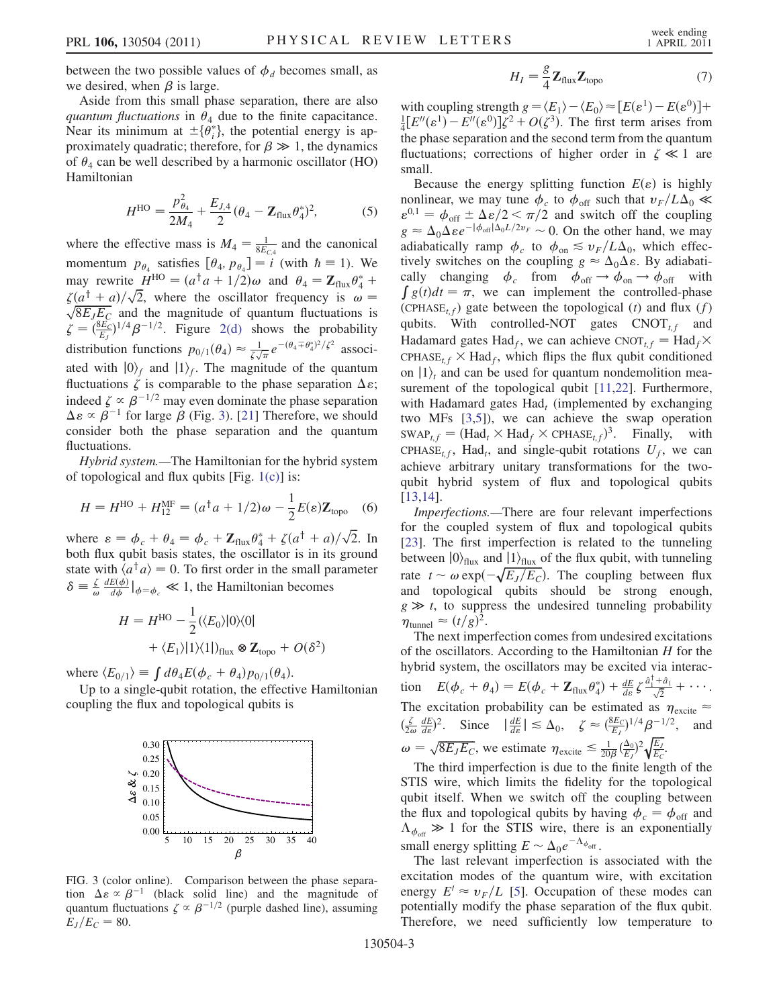between the two possible values of  $\phi_d$  becomes small, as we desired, when  $\beta$  is large.

Aside from this small phase separation, there are also quantum fluctuations in  $\theta_4$  due to the finite capacitance. Near its minimum at  $\pm \{\theta_i^*\}$ , the potential energy is approximately quadratic: therefore for  $\beta \gg 1$  the dynamics proximately quadratic; therefore, for  $\beta \gg 1$ , the dynamics of  $\theta_4$  can be well described by a harmonic oscillator (HO) Hamiltonian

$$
H^{\rm HO} = \frac{p_{\theta_4}^2}{2M_4} + \frac{E_{J,4}}{2} (\theta_4 - \mathbf{Z}_{\rm flux} \theta_4^*)^2, \tag{5}
$$

where the effective mass is  $M_4 = \frac{1}{8E_{C4}}$  and the canonical momentum  $p_{\theta_4}$  satisfies  $[\theta_4, p_{\theta_4}] = i$  (with  $\hbar \equiv 1$ ). We may rewrite  $H^{HO} = (a^{\dagger} a + 1/2)\omega$  and  $\theta_4 = \mathbb{Z}_{\text{flux}} \theta_4^* +$ <br>  $\zeta(a^{\dagger} + a)/\sqrt{2}$  where the oscillator frequency is  $\omega =$  $\zeta(a^{\dagger}+a)/\sqrt{2}$ <br> $\sqrt{8F\cdot F}$  and  $\zeta(a^{\dagger} + a)/\sqrt{2}$ , where the oscillator frequency is  $\omega = \sqrt{8E_JE_C}$  and the magnitude of quantum fluctuations is  $\zeta = \left(\frac{8E_C}{E_J}\right)^{1/4} \beta^{-1/2}$ . Figure [2\(d\)](#page-1-0) shows the probability distribution functions  $p_{0/1}(\theta_4) \approx \frac{1}{\zeta \sqrt{\pi}} e^{-(\theta_4 \mp \theta_4^*)^2/\zeta^2}$  associated with  $|0\rangle_f$  and  $|1\rangle_f$ . The magnitude of the quantum fluctuations  $\zeta$  is comparable to the phase separation  $\Delta \varepsilon$ ; indeed  $\zeta \propto \beta^{-1/2}$  may even dominate the phase separation  $\Delta \varepsilon \propto \overline{\beta}^{-1}$  for large  $\overline{\beta}$  (Fig. [3](#page-2-0)). [[21](#page-3-20)] Therefore, we should<br>consider both the phase separation and the quantum consider both the phase separation and the quantum fluctuations.

Hybrid system.—The Hamiltonian for the hybrid system of topological and flux qubits [Fig.  $1(c)$ ] is:

$$
H = H^{\rm HO} + H_{12}^{\rm MF} = (a^{\dagger} a + 1/2)\omega - \frac{1}{2}E(\varepsilon)Z_{\rm topo} \quad (6)
$$

where  $\varepsilon = \phi_c + \theta_4 = \phi_c + \mathbb{Z}_{\text{flux}} \theta_4^* + \zeta (a^{\dagger} + a) / \sqrt{2}$ . In hoth flux qubit basis states the oscillator is in its ground both flux qubit basis states, the oscillator is in its ground state with  $\langle a^{\dagger} a \rangle = 0$ . To first order in the small parameter  $\delta \equiv \frac{\zeta}{\omega} \frac{dE(\phi)}{d\phi} \big|_{\phi = \phi_c} \ll 1$ , the Hamiltonian becomes

$$
H = H^{\text{HO}} - \frac{1}{2} (\langle E_0 \rangle |0 \rangle \langle 0|
$$
  
+  $\langle E_1 \rangle |1 \rangle \langle 1|$ )<sub>flux</sub>  $\otimes$  **Z**<sub>topo</sub> + O( $\delta^2$ )

Þ

where  $\langle E_{0/1} \rangle \equiv \int d\theta_4 E(\phi_c + \theta_4) p_{0/1}(\theta_4)$ .

Up to a single-qubit rotation, the effective Hamiltonian coupling the flux and topological qubits is

<span id="page-2-0"></span>

FIG. 3 (color online). Comparison between the phase separation  $\Delta \varepsilon \propto \beta^{-1}$  (black solid line) and the magnitude of quantum fluctuations  $\zeta \propto \beta^{-1/2}$  (purple dashed line) assuming quantum fluctuations  $\zeta \propto \beta^{-1/2}$  (purple dashed line), assuming  $E_J/E_C = 80.$ 

$$
H_{I} = \frac{g}{4} \mathbf{Z}_{\text{flux}} \mathbf{Z}_{\text{topo}}
$$
 (7)

with coupling strength  $g = \langle E_1 \rangle - \langle E_0 \rangle \approx [E(\varepsilon^1) - E(\varepsilon^0)] +$  $\frac{1}{4}[E''(\varepsilon^1) - E''(\varepsilon^0)]\zeta^2 + O(\zeta^3).$  The first term arises from the phase separation and the second term from the quantum fluctuations; corrections of higher order in  $\zeta \ll 1$  are small.

Because the energy splitting function  $E(\varepsilon)$  is highly nonlinear, we may tune  $\phi_c$  to  $\phi_{\text{off}}$  such that  $v_F/L\Delta_0 \ll$ <br> $\varepsilon^{0,1} = \phi_c + \Delta \varepsilon / 2 \ll \pi/2$  and switch off the counting  $\varepsilon^{0,1} = \phi_{\text{off}} \pm \Delta \varepsilon/2 < \pi/2$  and switch off the coupling<br>  $g \approx \Delta \Delta \varepsilon e^{-|\phi_{\text{off}}| \Delta_0 L/2 \nu_F} \sim 0$ . On the other hand, we may  $g \approx \Delta_0 \Delta \varepsilon e^{-|\phi_{\text{off}}| \Delta_0 L/2v_F} \sim 0$ . On the other hand, we may adiabatically ramp  $\phi$  to  $\phi \leq u_D / I \Delta_0$  which effecadiabatically ramp  $\phi_c$  to  $\phi_{on} \leq v_F/L\Delta_0$ , which effectively switches on the coupling  $g \approx \Delta_0 \Delta \varepsilon$ . By adiabati-<br>cally changing  $\phi$  from  $\phi$   $\Rightarrow \phi$   $\Rightarrow \phi$   $\infty$  with cally changing  $\phi_c$  from  $\phi_{\text{off}} \to \phi_{\text{on}} \to \phi_{\text{off}}$  with  $\int g(t)dt = \pi$ , we can implement the controlled-phase (CPHASE<sub>t,f</sub>) gate between the topological (t) and flux (f) qubits. With controlled-NOT gates  $CNOT_{tf}$  and Hadamard gates Had<sub>f</sub>, we can achieve CNOT<sub>t,f</sub> = Had<sub>f</sub> $\times$ CPHASE<sub>tf</sub>  $\times$  Had<sub>f</sub>, which flips the flux qubit conditioned on  $|1\rangle$  and can be used for quantum nondemolition measurement of the topological qubit [[11](#page-3-10),[22](#page-3-21)]. Furthermore, with Hadamard gates  $Had_t$  (implemented by exchanging two MFs [\[3](#page-3-2),[5](#page-3-4)]), we can achieve the swap operation  $SWAP_{t,f} = (Had_t \times Had_f \times CPHASE_{t,f})^3$ . Finally, with CPHASE<sub>t,f</sub>, Had<sub>t</sub>, and single-qubit rotations  $U_f$ , we can achieve arbitrary unitary transformations for the twoqubit hybrid system of flux and topological qubits [\[13](#page-3-12)[,14\]](#page-3-13).

Imperfections.—There are four relevant imperfections for the coupled system of flux and topological qubits [\[23\]](#page-3-22). The first imperfection is related to the tunneling between  $|0\rangle_{\text{flux}}$  and  $|1\rangle_{\text{flux}}$  of the flux qubit, with tunneling rate  $t \sim \omega \exp(-\sqrt{E_J/E_C})$ . The coupling between flux<br>and topological qubits should be strong enough and topological qubits should be strong enough,  $g \gg t$ , to suppress the undesired tunneling probability  $\eta_{\text{tunnel}} \approx (t/g)^2.$ <br>The next imper

The next imperfection comes from undesired excitations of the oscillators. According to the Hamiltonian  $H$  for the hybrid system, the oscillators may be excited via interaction  $E(\phi_c + \theta_4) = E(\phi_c + \mathbf{Z}_{\text{flux}}\theta_4^*) + \frac{dE}{d\varepsilon} \zeta \frac{\hat{a}_1^{\dagger} + \hat{a}_1}{\sqrt{2}} + \cdots$ The excitation probability can be estimated as  $\eta_{\text{excite}} \approx$  $\left(\frac{\zeta}{2\omega}\frac{dE}{d\varepsilon}\right)^2$ . Since  $\left|\frac{dE}{d\varepsilon}\right| \lesssim \Delta_0$ ,  $\zeta \approx \left(\frac{8E_C}{E_J}\right)^{1/4} \beta^{-1/2}$ , and  $\omega = \sqrt{8E_JE_C}$ , we estimate  $\eta_{\text{excite}} \lesssim \frac{1}{20\beta}$  $(\frac{\Delta_0}{E_J})^2 \sqrt{\frac{E_J}{E_C}}$  $\sqrt{\frac{E_J}{E_C}}$ .

The third imperfection is due to the finite length of the STIS wire, which limits the fidelity for the topological qubit itself. When we switch off the coupling between the flux and topological qubits by having  $\phi_c = \phi_{\text{off}}$  and  $\Lambda_{\phi_{\text{off}}} \gg 1$  for the STIS wire, there is an exponentially small energy splitting  $E \sim \Delta_0 e^{-\Lambda_{\phi_{\text{off}}}}$ .<br>The last relevant imperfection is

The last relevant imperfection is associated with the excitation modes of the quantum wire, with excitation energy  $E' \approx v_F/L$  [\[5](#page-3-4)]. Occupation of these modes can potentially modify the phase separation of the flux qubit. Therefore, we need sufficiently low temperature to